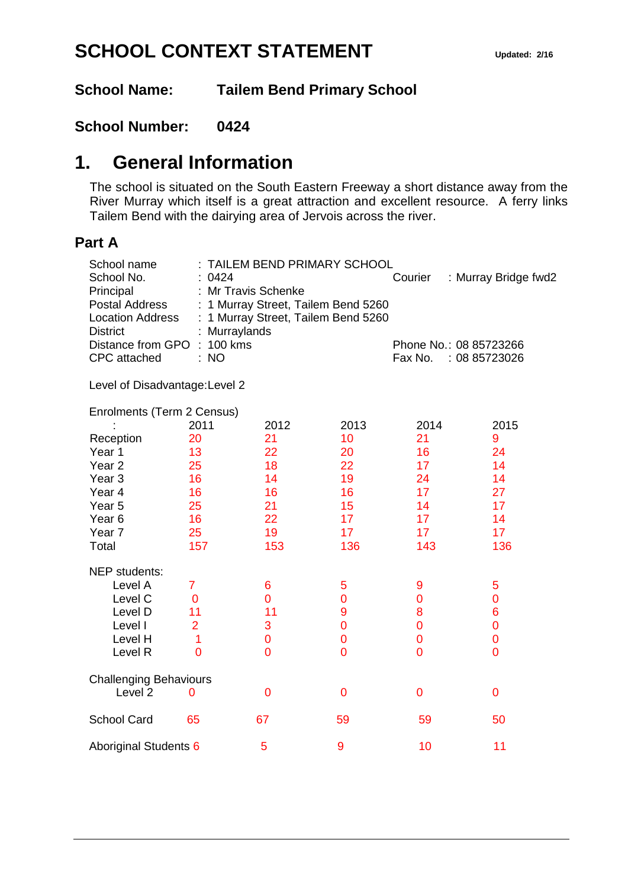# **SCHOOL CONTEXT STATEMENT** Updated: 2/16

**School Name: Tailem Bend Primary School**

### **School Number: 0424**

## **1. General Information**

The school is situated on the South Eastern Freeway a short distance away from the River Murray which itself is a great attraction and excellent resource. A ferry links Tailem Bend with the dairying area of Jervois across the river.

#### **Part A**

| School name<br>School No.<br>Principal<br><b>Postal Address</b><br><b>Location Address</b><br><b>District</b> | : 0424         | TAILEM BEND PRIMARY SCHOOL<br>: Mr Travis Schenke<br>: 1 Murray Street, Tailem Bend 5260<br>: 1 Murray Street, Tailem Bend 5260<br>Murraylands |                | Courier                                            | : Murray Bridge fwd2 |
|---------------------------------------------------------------------------------------------------------------|----------------|------------------------------------------------------------------------------------------------------------------------------------------------|----------------|----------------------------------------------------|----------------------|
| 100 kms<br>Distance from GPO<br><b>CPC</b> attached<br>: NO                                                   |                |                                                                                                                                                |                | Phone No.: 08 85723266<br>Fax No.<br>: 08 85723026 |                      |
| Level of Disadvantage: Level 2                                                                                |                |                                                                                                                                                |                |                                                    |                      |
| Enrolments (Term 2 Census)                                                                                    |                |                                                                                                                                                |                |                                                    |                      |
|                                                                                                               | 2011           | 2012                                                                                                                                           | 2013           | 2014                                               | 2015                 |
| Reception                                                                                                     | 20             | 21                                                                                                                                             | 10             | 21                                                 | 9                    |
| Year 1                                                                                                        | 13             | 22                                                                                                                                             | 20             | 16                                                 | 24                   |
| Year <sub>2</sub>                                                                                             | 25             | 18                                                                                                                                             | 22             | 17                                                 | 14                   |
| Year <sub>3</sub>                                                                                             | 16             | 14                                                                                                                                             | 19             | 24                                                 | 14                   |
| Year 4                                                                                                        | 16             | 16<br>21                                                                                                                                       | 16<br>15       | 17<br>14                                           | 27<br>17             |
| Year <sub>5</sub><br>Year <sub>6</sub>                                                                        | 25<br>16       | 22                                                                                                                                             | 17             | 17                                                 | 14                   |
| Year 7                                                                                                        | 25             | 19                                                                                                                                             | 17             | 17                                                 | 17                   |
| Total                                                                                                         | 157            | 153                                                                                                                                            | 136            | 143                                                | 136                  |
|                                                                                                               |                |                                                                                                                                                |                |                                                    |                      |
| NEP students:                                                                                                 |                |                                                                                                                                                |                |                                                    |                      |
| Level A                                                                                                       | $\overline{7}$ | 6                                                                                                                                              | 5              | 9                                                  | 5                    |
| Level C                                                                                                       | $\overline{0}$ | 0                                                                                                                                              | $\overline{0}$ | $\overline{0}$                                     | $\overline{0}$       |
| Level D                                                                                                       | 11             | 11                                                                                                                                             | 9              | 8                                                  | 6                    |
| Level I                                                                                                       | $\overline{2}$ | 3                                                                                                                                              | $\overline{0}$ | $\overline{0}$                                     | 0                    |
| Level H                                                                                                       | 1              | 0                                                                                                                                              | $\overline{0}$ | $\overline{0}$                                     | 0                    |
| Level R                                                                                                       | $\overline{0}$ | $\overline{0}$                                                                                                                                 | $\overline{0}$ | $\overline{0}$                                     | 0                    |
| <b>Challenging Behaviours</b>                                                                                 |                |                                                                                                                                                |                |                                                    |                      |
| Level <sub>2</sub>                                                                                            | $\overline{0}$ | 0                                                                                                                                              | $\overline{0}$ | 0                                                  | $\overline{0}$       |
| <b>School Card</b>                                                                                            | 65             | 67                                                                                                                                             | 59             | 59                                                 | 50                   |
| Aboriginal Students 6                                                                                         |                | 5                                                                                                                                              | 9              | 10                                                 | 11                   |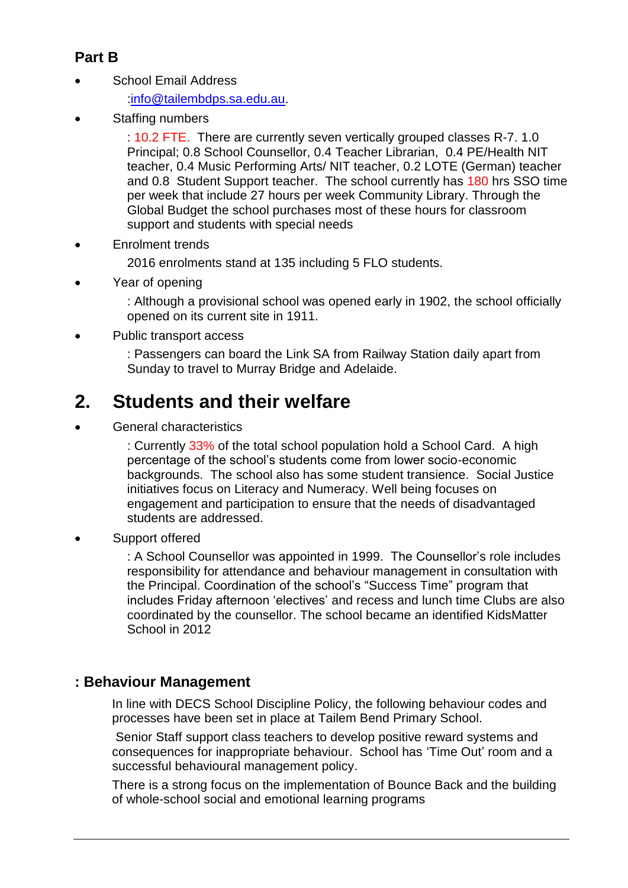### **Part B**

School Email Address

[:info@tailembdps.sa.edu.au.](mailto:info@tailembdps.sa.edu.au)

Staffing numbers

: 10.2 FTE. There are currently seven vertically grouped classes R-7. 1.0 Principal; 0.8 School Counsellor, 0.4 Teacher Librarian, 0.4 PE/Health NIT teacher, 0.4 Music Performing Arts/ NIT teacher, 0.2 LOTE (German) teacher and 0.8 Student Support teacher. The school currently has 180 hrs SSO time per week that include 27 hours per week Community Library. Through the Global Budget the school purchases most of these hours for classroom support and students with special needs

Enrolment trends

2016 enrolments stand at 135 including 5 FLO students.

• Year of opening

: Although a provisional school was opened early in 1902, the school officially opened on its current site in 1911.

Public transport access

: Passengers can board the Link SA from Railway Station daily apart from Sunday to travel to Murray Bridge and Adelaide.

# **2. Students and their welfare**

General characteristics

: Currently 33% of the total school population hold a School Card. A high percentage of the school's students come from lower socio-economic backgrounds. The school also has some student transience. Social Justice initiatives focus on Literacy and Numeracy. Well being focuses on engagement and participation to ensure that the needs of disadvantaged students are addressed.

Support offered

: A School Counsellor was appointed in 1999. The Counsellor's role includes responsibility for attendance and behaviour management in consultation with the Principal. Coordination of the school's "Success Time" program that includes Friday afternoon 'electives' and recess and lunch time Clubs are also coordinated by the counsellor. The school became an identified KidsMatter School in 2012

### **: Behaviour Management**

In line with DECS School Discipline Policy, the following behaviour codes and processes have been set in place at Tailem Bend Primary School.

Senior Staff support class teachers to develop positive reward systems and consequences for inappropriate behaviour. School has 'Time Out' room and a successful behavioural management policy.

There is a strong focus on the implementation of Bounce Back and the building of whole-school social and emotional learning programs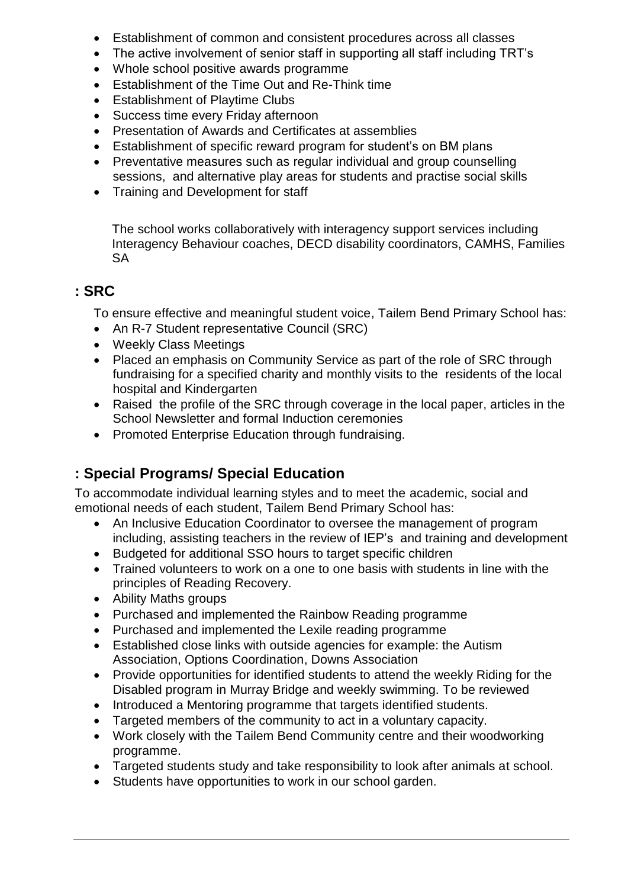- Establishment of common and consistent procedures across all classes
- The active involvement of senior staff in supporting all staff including TRT's
- Whole school positive awards programme
- Establishment of the Time Out and Re-Think time
- **Establishment of Playtime Clubs**
- Success time every Friday afternoon
- Presentation of Awards and Certificates at assemblies
- Establishment of specific reward program for student's on BM plans
- Preventative measures such as regular individual and group counselling sessions, and alternative play areas for students and practise social skills
- Training and Development for staff

The school works collaboratively with interagency support services including Interagency Behaviour coaches, DECD disability coordinators, CAMHS, Families SA

### **: SRC**

To ensure effective and meaningful student voice, Tailem Bend Primary School has:

- An R-7 Student representative Council (SRC)
- Weekly Class Meetings
- Placed an emphasis on Community Service as part of the role of SRC through fundraising for a specified charity and monthly visits to the residents of the local hospital and Kindergarten
- Raised the profile of the SRC through coverage in the local paper, articles in the School Newsletter and formal Induction ceremonies
- Promoted Enterprise Education through fundraising.

### **: Special Programs/ Special Education**

To accommodate individual learning styles and to meet the academic, social and emotional needs of each student, Tailem Bend Primary School has:

- An Inclusive Education Coordinator to oversee the management of program including, assisting teachers in the review of IEP's and training and development
- Budgeted for additional SSO hours to target specific children
- Trained volunteers to work on a one to one basis with students in line with the principles of Reading Recovery.
- Ability Maths groups
- Purchased and implemented the Rainbow Reading programme
- Purchased and implemented the Lexile reading programme
- Established close links with outside agencies for example: the Autism Association, Options Coordination, Downs Association
- Provide opportunities for identified students to attend the weekly Riding for the Disabled program in Murray Bridge and weekly swimming. To be reviewed
- Introduced a Mentoring programme that targets identified students.
- Targeted members of the community to act in a voluntary capacity.
- Work closely with the Tailem Bend Community centre and their woodworking programme.
- Targeted students study and take responsibility to look after animals at school.
- Students have opportunities to work in our school garden.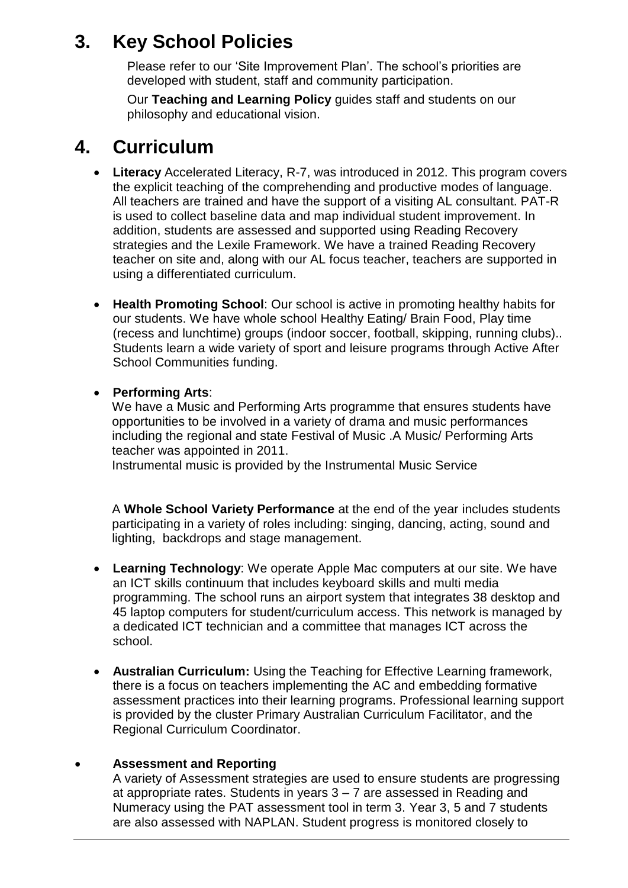# **3. Key School Policies**

Please refer to our 'Site Improvement Plan'. The school's priorities are developed with student, staff and community participation.

Our **Teaching and Learning Policy** guides staff and students on our philosophy and educational vision.

## **4. Curriculum**

- **Literacy** Accelerated Literacy, R-7, was introduced in 2012. This program covers the explicit teaching of the comprehending and productive modes of language. All teachers are trained and have the support of a visiting AL consultant. PAT-R is used to collect baseline data and map individual student improvement. In addition, students are assessed and supported using Reading Recovery strategies and the Lexile Framework. We have a trained Reading Recovery teacher on site and, along with our AL focus teacher, teachers are supported in using a differentiated curriculum.
- **Health Promoting School**: Our school is active in promoting healthy habits for our students. We have whole school Healthy Eating/ Brain Food, Play time (recess and lunchtime) groups (indoor soccer, football, skipping, running clubs).. Students learn a wide variety of sport and leisure programs through Active After School Communities funding.
- **Performing Arts**:

We have a Music and Performing Arts programme that ensures students have opportunities to be involved in a variety of drama and music performances including the regional and state Festival of Music .A Music/ Performing Arts teacher was appointed in 2011.

Instrumental music is provided by the Instrumental Music Service

A **Whole School Variety Performance** at the end of the year includes students participating in a variety of roles including: singing, dancing, acting, sound and lighting, backdrops and stage management.

- **Learning Technology**: We operate Apple Mac computers at our site. We have an ICT skills continuum that includes keyboard skills and multi media programming. The school runs an airport system that integrates 38 desktop and 45 laptop computers for student/curriculum access. This network is managed by a dedicated ICT technician and a committee that manages ICT across the school.
- **Australian Curriculum:** Using the Teaching for Effective Learning framework, there is a focus on teachers implementing the AC and embedding formative assessment practices into their learning programs. Professional learning support is provided by the cluster Primary Australian Curriculum Facilitator, and the Regional Curriculum Coordinator.

#### **Assessment and Reporting**

A variety of Assessment strategies are used to ensure students are progressing at appropriate rates. Students in years 3 – 7 are assessed in Reading and Numeracy using the PAT assessment tool in term 3. Year 3, 5 and 7 students are also assessed with NAPLAN. Student progress is monitored closely to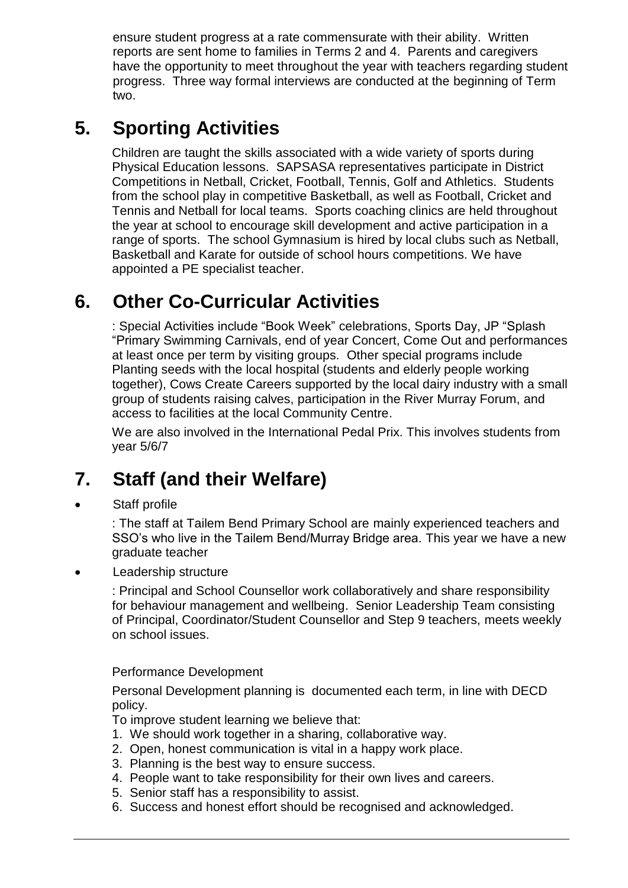ensure student progress at a rate commensurate with their ability. Written reports are sent home to families in Terms 2 and 4. Parents and caregivers have the opportunity to meet throughout the year with teachers regarding student progress. Three way formal interviews are conducted at the beginning of Term two.

# **5. Sporting Activities**

Children are taught the skills associated with a wide variety of sports during Physical Education lessons. SAPSASA representatives participate in District Competitions in Netball, Cricket, Football, Tennis, Golf and Athletics. Students from the school play in competitive Basketball, as well as Football, Cricket and Tennis and Netball for local teams. Sports coaching clinics are held throughout the year at school to encourage skill development and active participation in a range of sports. The school Gymnasium is hired by local clubs such as Netball, Basketball and Karate for outside of school hours competitions. We have appointed a PE specialist teacher.

# **6. Other Co-Curricular Activities**

: Special Activities include "Book Week" celebrations, Sports Day, JP "Splash "Primary Swimming Carnivals, end of year Concert, Come Out and performances at least once per term by visiting groups. Other special programs include Planting seeds with the local hospital (students and elderly people working together), Cows Create Careers supported by the local dairy industry with a small group of students raising calves, participation in the River Murray Forum, and access to facilities at the local Community Centre.

We are also involved in the International Pedal Prix. This involves students from year 5/6/7

# **7. Staff (and their Welfare)**

Staff profile

: The staff at Tailem Bend Primary School are mainly experienced teachers and SSO's who live in the Tailem Bend/Murray Bridge area. This year we have a new graduate teacher

Leadership structure

: Principal and School Counsellor work collaboratively and share responsibility for behaviour management and wellbeing. Senior Leadership Team consisting of Principal, Coordinator/Student Counsellor and Step 9 teachers, meets weekly on school issues.

#### Performance Development

Personal Development planning is documented each term, in line with DECD policy.

- To improve student learning we believe that:
- 1. We should work together in a sharing, collaborative way.
- 2. Open, honest communication is vital in a happy work place.
- 3. Planning is the best way to ensure success.
- 4. People want to take responsibility for their own lives and careers.
- 5. Senior staff has a responsibility to assist.
- 6. Success and honest effort should be recognised and acknowledged.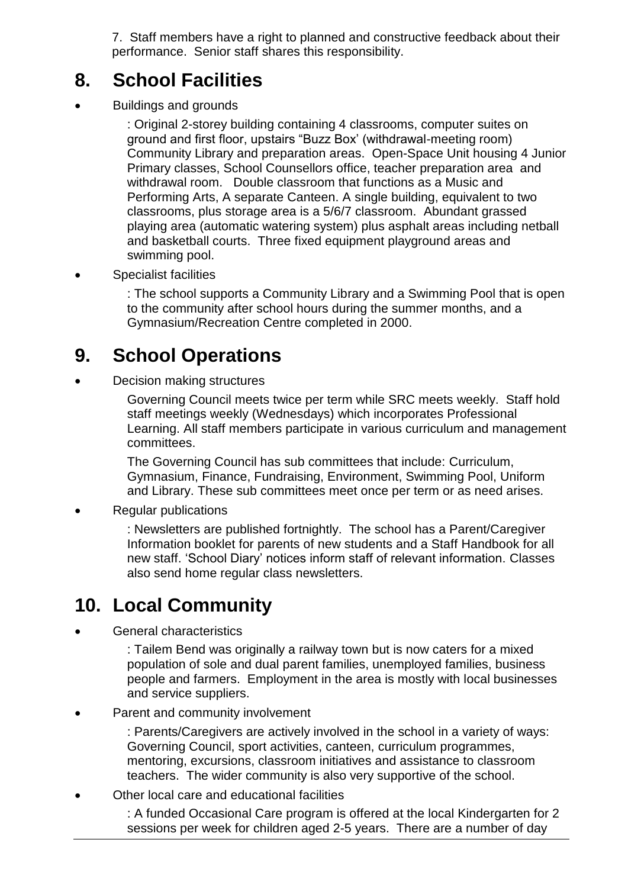7. Staff members have a right to planned and constructive feedback about their performance. Senior staff shares this responsibility.

## **8. School Facilities**

Buildings and grounds

: Original 2-storey building containing 4 classrooms, computer suites on ground and first floor, upstairs "Buzz Box' (withdrawal-meeting room) Community Library and preparation areas. Open-Space Unit housing 4 Junior Primary classes, School Counsellors office, teacher preparation area and withdrawal room. Double classroom that functions as a Music and Performing Arts, A separate Canteen. A single building, equivalent to two classrooms, plus storage area is a 5/6/7 classroom. Abundant grassed playing area (automatic watering system) plus asphalt areas including netball and basketball courts. Three fixed equipment playground areas and swimming pool.

Specialist facilities

: The school supports a Community Library and a Swimming Pool that is open to the community after school hours during the summer months, and a Gymnasium/Recreation Centre completed in 2000.

# **9. School Operations**

Decision making structures

Governing Council meets twice per term while SRC meets weekly. Staff hold staff meetings weekly (Wednesdays) which incorporates Professional Learning. All staff members participate in various curriculum and management committees.

The Governing Council has sub committees that include: Curriculum, Gymnasium, Finance, Fundraising, Environment, Swimming Pool, Uniform and Library. These sub committees meet once per term or as need arises.

• Regular publications

: Newsletters are published fortnightly. The school has a Parent/Caregiver Information booklet for parents of new students and a Staff Handbook for all new staff. 'School Diary' notices inform staff of relevant information. Classes also send home regular class newsletters.

# **10. Local Community**

General characteristics

: Tailem Bend was originally a railway town but is now caters for a mixed population of sole and dual parent families, unemployed families, business people and farmers. Employment in the area is mostly with local businesses and service suppliers.

Parent and community involvement

: Parents/Caregivers are actively involved in the school in a variety of ways: Governing Council, sport activities, canteen, curriculum programmes, mentoring, excursions, classroom initiatives and assistance to classroom teachers. The wider community is also very supportive of the school.

Other local care and educational facilities

: A funded Occasional Care program is offered at the local Kindergarten for 2 sessions per week for children aged 2-5 years. There are a number of day